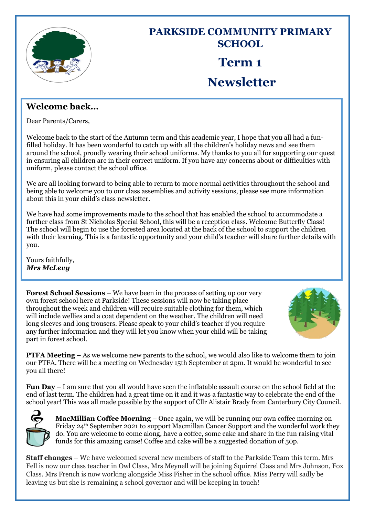

## **PARKSIDE COMMUNITY PRIMARY SCHOOL Term 1 Newsletter**

## **Welcome back…**

Dear Parents/Carers,

Welcome back to the start of the Autumn term and this academic year, I hope that you all had a funfilled holiday. It has been wonderful to catch up with all the children's holiday news and see them around the school, proudly wearing their school uniforms. My thanks to you all for supporting our quest in ensuring all children are in their correct uniform. If you have any concerns about or difficulties with uniform, please contact the school office.

We are all looking forward to being able to return to more normal activities throughout the school and being able to welcome you to our class assemblies and activity sessions, please see more information about this in your child's class newsletter.

We have had some improvements made to the school that has enabled the school to accommodate a further class from St Nicholas Special School, this will be a reception class. Welcome Butterfly Class! The school will begin to use the forested area located at the back of the school to support the children with their learning. This is a fantastic opportunity and your child's teacher will share further details with you.

Yours faithfully, *Mrs McLevy*

**Forest School Sessions** – We have been in the process of setting up our very own forest school here at Parkside! These sessions will now be taking place throughout the week and children will require suitable clothing for them, which will include wellies and a coat dependent on the weather. The children will need long sleeves and long trousers. Please speak to your child's teacher if you require any further information and they will let you know when your child will be taking part in forest school.



**PTFA Meeting** – As we welcome new parents to the school, we would also like to welcome them to join our PTFA. There will be a meeting on Wednesday 15th September at 2pm. It would be wonderful to see you all there!

**Fun Day** – I am sure that you all would have seen the inflatable assault course on the school field at the end of last term. The children had a great time on it and it was a fantastic way to celebrate the end of the school year! This was all made possible by the support of Cllr Alistair Brady from Canterbury City Council.



**MacMillian Coffee Morning** – Once again, we will be running our own coffee morning on Friday 24th September 2021 to support Macmillan Cancer Support and the wonderful work they do. You are welcome to come along, have a coffee, some cake and share in the fun raising vital funds for this amazing cause! Coffee and cake will be a suggested donation of 50p.

**Staff changes** – We have welcomed several new members of staff to the Parkside Team this term. Mrs Fell is now our class teacher in Owl Class, Mrs Meynell will be joining Squirrel Class and Mrs Johnson, Fox Class. Mrs French is now working alongside Miss Fisher in the school office. Miss Perry will sadly be leaving us but she is remaining a school governor and will be keeping in touch!